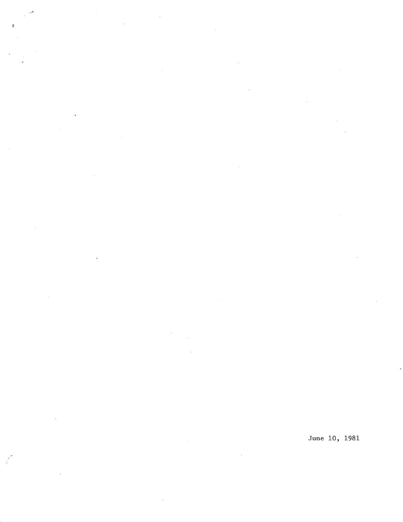June 10, 1981

ł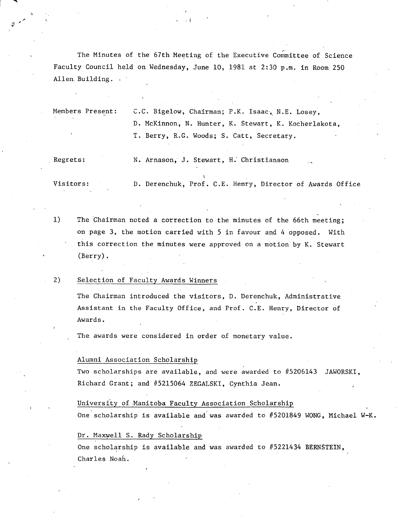The Minutes of the 67th Meeting of the Executive Committee of Science Faculty Council held on Wednesday, June 10, 1981 at 2:30 p.m. in Room 250 Allen, Building.

 $\mathbf{v} = \mathbf{v} \cdot \mathbf{v}$ 

Members Present: C.C. Bigelow, Chairman; P.K. Isaac, N.E. Losey, D. McKinnon, N. Hunter, K. Stewart, K. Kocherlakota, T. Berry, R.G. Woods; S. Catt, Secretary.

Regrets: N. Arnason, J. Stewart, H.' Christianson

Visitors: D. Derenchuk, Prof. C.E. Henry, Director of Awards Office

 $1)$ The 'Chairman noted a correction to the minutes of the 66th meeting; on page 3, the motion carried with 5 in favour and 4 opposed. With this correction the minutes were approved on a motion by K. Stewart (Berry).

#### 2) Selection of Faculty Awards Winners

The Chairman introduced the visitors, D. Derenchuk, Administrative Assistant in the Faculty Office, and Prof. C.E. Henry, Director of Awards.

The awards were considered in order of monetary value.

#### Alumni Association Scholarship

Two scholarships are available, and were awarded to #5206143 JAWORSKI, Richard Grant; and #5215064 ZEGALSKI, Cynthia Jean.

#### University of Manitoba Faculty Association Scholarship

One scholarship is available and was awarded to #5201849 WONG, Michael W-K.

#### Dr. Maxwell S. Rady Scholarship

One scholarship is available and was awarded to  $#5221434$  BERNSTEIN, Charles Noah.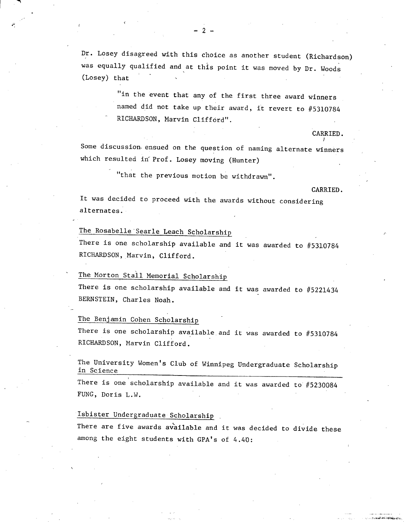Dr. Losey disagreed with this choice as another student (Richardson) was equally qualified and at this point it was moved by Dr. Woods (Losey) that

> "in the event that any of the first three award winners named did not take up their award, it revert to #5310784 RICHARDSON, Marvin Clifford".

Some discussion. ensued on the question of naming alternate winners which resulted in Prof. Losey moving (Hunter)

"that the previous motion be withdrawn".

CARRIED.

CARRIED.

It was decided to proceed with the awards without considering alternates.

### The Rosabelle Searle Leach Scholarship

There is one scholarship available and it was awarded to #5310784 RICHARDSON, Marvin, Clifford.

### The Morton Stall Memorial Scholarship

There is one scholarship available and it was awarded to #5221434 BERNSTEIN, Charles Noah.

### The Benjamin Cohen Scholarship

There is one scholarship available and it was awarded to #5310784 RICHARDSON, Marvin Clifford.

The University Women's Club of Winnipeg Undergraduate Scholarship in Science

There is one scholarship available and it was awarded to #5230084 FUNG, Doris L.W.

#### Isbister Undergraduate Scholarship

There are five awards available and it was decided to divide these among the eight students with GPA's of 4.40: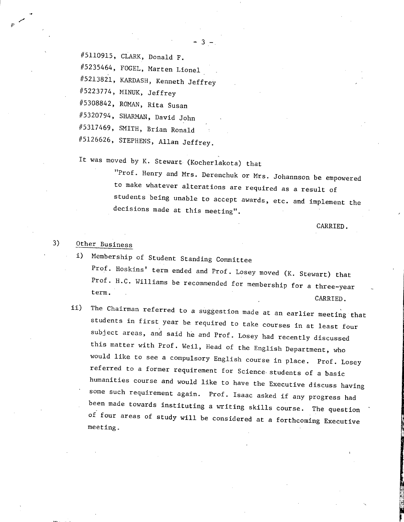#5110915, CLARK, Donald F.

#5235464, FOCEL, Marten Lionel

#5213821, KARDASH, Kenneth Jeffrey

#5223774, MINUK, Jeffrey

#5308842, ROMAN, Rita Susan

#5320794, SHARMAN, David John

#5317469, SMITH, Brian Ronald

#5126626, STEPHENS, Allan Jeffrey.

It was moved by K. Stewart (Kocherlakota) that

"Prof. Henry and Mrs. Derenchuk or Mrs. Johannson be empowered to make whatever alterations are required as a result of students being unable to accept awards, etc. and implement the decisions made at this meeting".

CARRIED.

-

### 3) Other Business

- i) Membership of Student Standing Committee Prof. Hoskins' term ended and Prof. Losey moved (K. Stewart) that Prof. H.C. Williams be recommended for membership for a three-year term. CARRIED.
- ii) The Chairman referred to a suggestion made at an earlier meeting that students in first year be required to take courses in at least four subject areas, and said he and Prof. Losey had recently discussed this matter with Prof. Weil, Head of the English Department, who would like to see a compulsory English course in place. Prof. Losey referred to a former requirement for Science students of a basic humanities course and would like to have the Executive discuss having some such requirement again. Prof. Isaac asked if any progress had been made towards instituting a writing skills course. The question of four areas of study will be considered at a forthcoming Executive meeting.

 $3 -$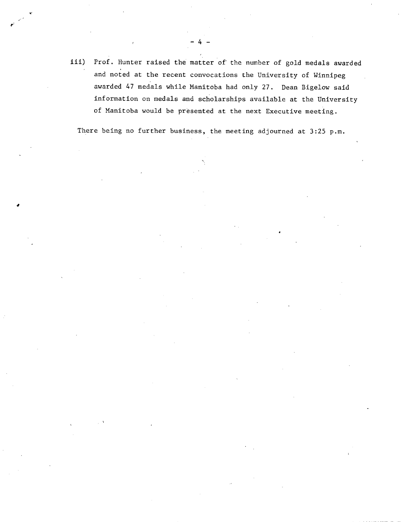iii) Prof. Hunter raised the matter of the number of gold medals awarded and noted at the recent convocations the University of Winnipeg awarded 47 medals while Manitoba had only 27. Dean Bigelow said information on medals and scholarships available at the University of Manitoba would be presented at the next Executive meeting.

 $-4-$ 

'C

4

There being no further business, the meeting adjourned at 3:25 p.m.